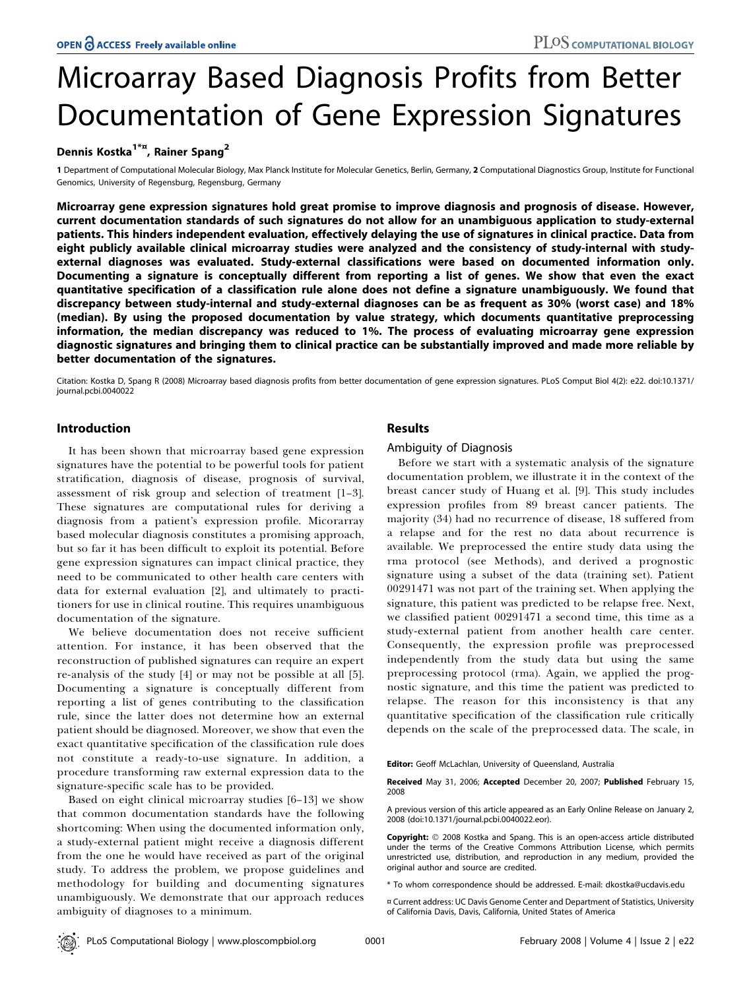# Microarray Based Diagnosis Profits from Better Documentation of Gene Expression Signatures

## Dennis Kostka<sup>1\*¤</sup>, Rainer Spang<sup>2</sup>

1 Department of Computational Molecular Biology, Max Planck Institute for Molecular Genetics, Berlin, Germany, 2 Computational Diagnostics Group, Institute for Functional Genomics, University of Regensburg, Regensburg, Germany

Microarray gene expression signatures hold great promise to improve diagnosis and prognosis of disease. However, current documentation standards of such signatures do not allow for an unambiguous application to study-external patients. This hinders independent evaluation, effectively delaying the use of signatures in clinical practice. Data from eight publicly available clinical microarray studies were analyzed and the consistency of study-internal with studyexternal diagnoses was evaluated. Study-external classifications were based on documented information only. Documenting a signature is conceptually different from reporting a list of genes. We show that even the exact quantitative specification of a classification rule alone does not define a signature unambiguously. We found that discrepancy between study-internal and study-external diagnoses can be as frequent as 30% (worst case) and 18% (median). By using the proposed documentation by value strategy, which documents quantitative preprocessing information, the median discrepancy was reduced to 1%. The process of evaluating microarray gene expression diagnostic signatures and bringing them to clinical practice can be substantially improved and made more reliable by better documentation of the signatures.

Citation: Kostka D, Spang R (2008) Microarray based diagnosis profits from better documentation of gene expression signatures. PLoS Comput Biol 4(2): e22. doi:10.1371/ journal.pcbi.0040022

## Introduction

It has been shown that microarray based gene expression signatures have the potential to be powerful tools for patient stratification, diagnosis of disease, prognosis of survival, assessment of risk group and selection of treatment [1–3]. These signatures are computational rules for deriving a diagnosis from a patient's expression profile. Micorarray based molecular diagnosis constitutes a promising approach, but so far it has been difficult to exploit its potential. Before gene expression signatures can impact clinical practice, they need to be communicated to other health care centers with data for external evaluation [2], and ultimately to practitioners for use in clinical routine. This requires unambiguous documentation of the signature.

We believe documentation does not receive sufficient attention. For instance, it has been observed that the reconstruction of published signatures can require an expert re-analysis of the study [4] or may not be possible at all [5]. Documenting a signature is conceptually different from reporting a list of genes contributing to the classification rule, since the latter does not determine how an external patient should be diagnosed. Moreover, we show that even the exact quantitative specification of the classification rule does not constitute a ready-to-use signature. In addition, a procedure transforming raw external expression data to the signature-specific scale has to be provided.

Based on eight clinical microarray studies [6–13] we show that common documentation standards have the following shortcoming: When using the documented information only, a study-external patient might receive a diagnosis different from the one he would have received as part of the original study. To address the problem, we propose guidelines and methodology for building and documenting signatures unambiguously. We demonstrate that our approach reduces ambiguity of diagnoses to a minimum.

## Results

## Ambiguity of Diagnosis

Before we start with a systematic analysis of the signature documentation problem, we illustrate it in the context of the breast cancer study of Huang et al. [9]. This study includes expression profiles from 89 breast cancer patients. The majority (34) had no recurrence of disease, 18 suffered from a relapse and for the rest no data about recurrence is available. We preprocessed the entire study data using the rma protocol (see Methods), and derived a prognostic signature using a subset of the data (training set). Patient 00291471 was not part of the training set. When applying the signature, this patient was predicted to be relapse free. Next, we classified patient 00291471 a second time, this time as a study-external patient from another health care center. Consequently, the expression profile was preprocessed independently from the study data but using the same preprocessing protocol (rma). Again, we applied the prognostic signature, and this time the patient was predicted to relapse. The reason for this inconsistency is that any quantitative specification of the classification rule critically depends on the scale of the preprocessed data. The scale, in

Editor: Geoff McLachlan, University of Queensland, Australia

A previous version of this article appeared as an Early Online Release on January 2, 2008 (doi:10.1371/journal.pcbi.0040022.eor).

Copyright: © 2008 Kostka and Spang. This is an open-access article distributed under the terms of the Creative Commons Attribution License, which permits unrestricted use, distribution, and reproduction in any medium, provided the original author and source are credited.

\* To whom correspondence should be addressed. E-mail: dkostka@ucdavis.edu

¤ Current address: UC Davis Genome Center and Department of Statistics, University of California Davis, Davis, California, United States of America

Received May 31, 2006; Accepted December 20, 2007; Published February 15, 2008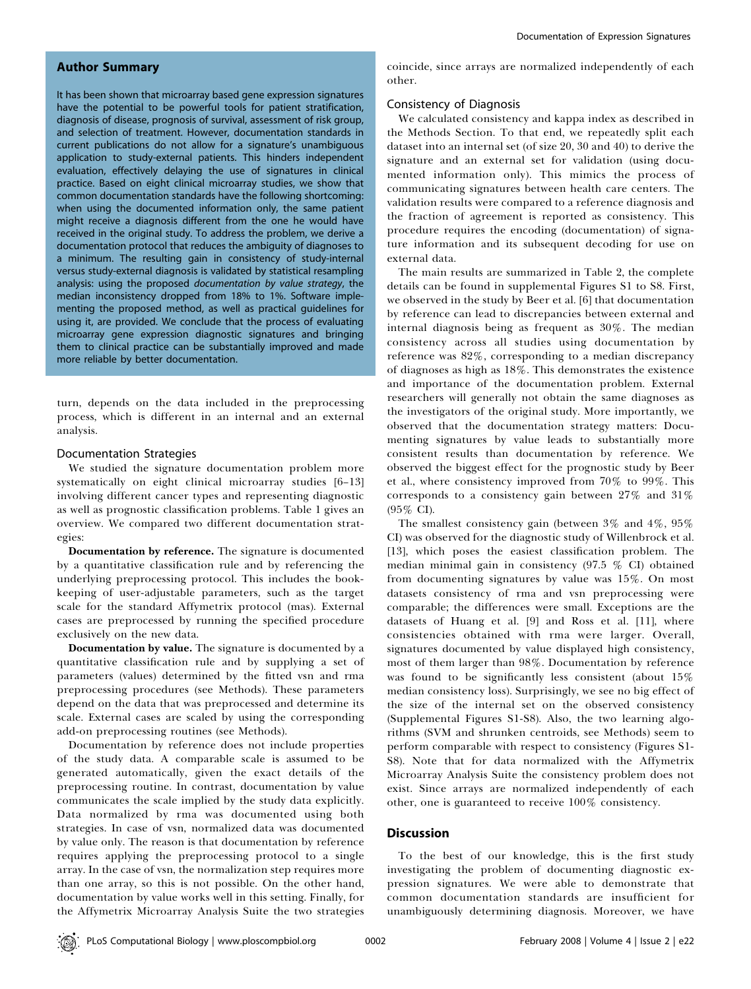## Author Summary

It has been shown that microarray based gene expression signatures have the potential to be powerful tools for patient stratification, diagnosis of disease, prognosis of survival, assessment of risk group, and selection of treatment. However, documentation standards in current publications do not allow for a signature's unambiguous application to study-external patients. This hinders independent evaluation, effectively delaying the use of signatures in clinical practice. Based on eight clinical microarray studies, we show that common documentation standards have the following shortcoming: when using the documented information only, the same patient might receive a diagnosis different from the one he would have received in the original study. To address the problem, we derive a documentation protocol that reduces the ambiguity of diagnoses to a minimum. The resulting gain in consistency of study-internal versus study-external diagnosis is validated by statistical resampling analysis: using the proposed documentation by value strategy, the median inconsistency dropped from 18% to 1%. Software implementing the proposed method, as well as practical guidelines for using it, are provided. We conclude that the process of evaluating microarray gene expression diagnostic signatures and bringing them to clinical practice can be substantially improved and made more reliable by better documentation.

turn, depends on the data included in the preprocessing process, which is different in an internal and an external analysis.

#### Documentation Strategies

We studied the signature documentation problem more systematically on eight clinical microarray studies [6–13] involving different cancer types and representing diagnostic as well as prognostic classification problems. Table 1 gives an overview. We compared two different documentation strategies:

Documentation by reference. The signature is documented by a quantitative classification rule and by referencing the underlying preprocessing protocol. This includes the bookkeeping of user-adjustable parameters, such as the target scale for the standard Affymetrix protocol (mas). External cases are preprocessed by running the specified procedure exclusively on the new data.

Documentation by value. The signature is documented by a quantitative classification rule and by supplying a set of parameters (values) determined by the fitted vsn and rma preprocessing procedures (see Methods). These parameters depend on the data that was preprocessed and determine its scale. External cases are scaled by using the corresponding add-on preprocessing routines (see Methods).

Documentation by reference does not include properties of the study data. A comparable scale is assumed to be generated automatically, given the exact details of the preprocessing routine. In contrast, documentation by value communicates the scale implied by the study data explicitly. Data normalized by rma was documented using both strategies. In case of vsn, normalized data was documented by value only. The reason is that documentation by reference requires applying the preprocessing protocol to a single array. In the case of vsn, the normalization step requires more than one array, so this is not possible. On the other hand, documentation by value works well in this setting. Finally, for the Affymetrix Microarray Analysis Suite the two strategies coincide, since arrays are normalized independently of each other.

#### Consistency of Diagnosis

We calculated consistency and kappa index as described in the Methods Section. To that end, we repeatedly split each dataset into an internal set (of size 20, 30 and 40) to derive the signature and an external set for validation (using documented information only). This mimics the process of communicating signatures between health care centers. The validation results were compared to a reference diagnosis and the fraction of agreement is reported as consistency. This procedure requires the encoding (documentation) of signature information and its subsequent decoding for use on external data.

The main results are summarized in Table 2, the complete details can be found in supplemental Figures S1 to S8. First, we observed in the study by Beer et al. [6] that documentation by reference can lead to discrepancies between external and internal diagnosis being as frequent as 30%. The median consistency across all studies using documentation by reference was 82%, corresponding to a median discrepancy of diagnoses as high as 18%. This demonstrates the existence and importance of the documentation problem. External researchers will generally not obtain the same diagnoses as the investigators of the original study. More importantly, we observed that the documentation strategy matters: Documenting signatures by value leads to substantially more consistent results than documentation by reference. We observed the biggest effect for the prognostic study by Beer et al., where consistency improved from 70% to 99%. This corresponds to a consistency gain between 27% and 31% (95% CI).

The smallest consistency gain (between 3% and 4%, 95% CI) was observed for the diagnostic study of Willenbrock et al. [13], which poses the easiest classification problem. The median minimal gain in consistency (97.5 % CI) obtained from documenting signatures by value was 15%. On most datasets consistency of rma and vsn preprocessing were comparable; the differences were small. Exceptions are the datasets of Huang et al. [9] and Ross et al. [11], where consistencies obtained with rma were larger. Overall, signatures documented by value displayed high consistency, most of them larger than 98%. Documentation by reference was found to be significantly less consistent (about 15% median consistency loss). Surprisingly, we see no big effect of the size of the internal set on the observed consistency (Supplemental Figures S1-S8). Also, the two learning algorithms (SVM and shrunken centroids, see Methods) seem to perform comparable with respect to consistency (Figures S1- S8). Note that for data normalized with the Affymetrix Microarray Analysis Suite the consistency problem does not exist. Since arrays are normalized independently of each other, one is guaranteed to receive 100% consistency.

## **Discussion**

To the best of our knowledge, this is the first study investigating the problem of documenting diagnostic expression signatures. We were able to demonstrate that common documentation standards are insufficient for unambiguously determining diagnosis. Moreover, we have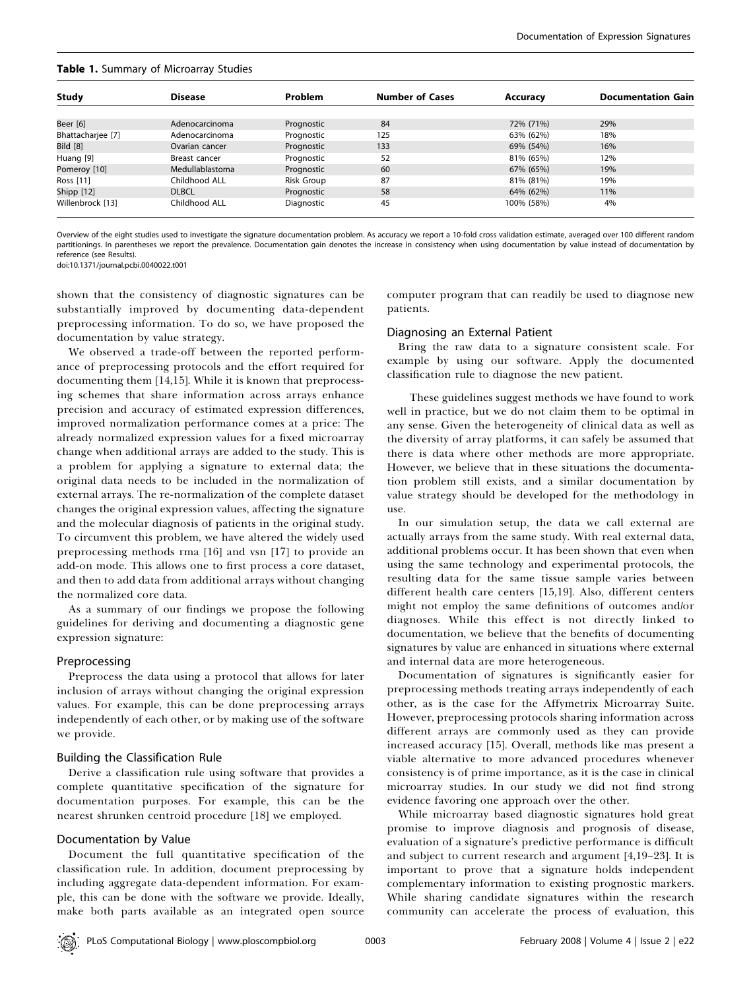| <b>Study</b>      | <b>Disease</b>  | <b>Problem</b> | <b>Number of Cases</b> | Accuracy   | <b>Documentation Gain</b> |
|-------------------|-----------------|----------------|------------------------|------------|---------------------------|
|                   |                 |                |                        |            |                           |
| Beer [6]          | Adenocarcinoma  | Prognostic     | 84                     | 72% (71%)  | 29%                       |
| Bhattacharjee [7] | Adenocarcinoma  | Prognostic     | 125                    | 63% (62%)  | 18%                       |
| <b>Bild</b> [8]   | Ovarian cancer  | Prognostic     | 133                    | 69% (54%)  | 16%                       |
| Huang [9]         | Breast cancer   | Prognostic     | 52                     | 81% (65%)  | 12%                       |
| Pomeroy [10]      | Medullablastoma | Prognostic     | 60                     | 67% (65%)  | 19%                       |
| Ross [11]         | Childhood ALL   | Risk Group     | 87                     | 81% (81%)  | 19%                       |
| Shipp [12]        | <b>DLBCL</b>    | Prognostic     | 58                     | 64% (62%)  | 11%                       |
| Willenbrock [13]  | Childhood ALL   | Diagnostic     | 45                     | 100% (58%) | 4%                        |

#### Table 1. Summary of Microarray Studies

Overview of the eight studies used to investigate the signature documentation problem. As accuracy we report a 10-fold cross validation estimate, averaged over 100 different random partitionings. In parentheses we report the prevalence. Documentation gain denotes the increase in consistency when using documentation by value instead of documentation by reference (see Results).

doi:10.1371/journal.pcbi.0040022.t001

shown that the consistency of diagnostic signatures can be substantially improved by documenting data-dependent preprocessing information. To do so, we have proposed the documentation by value strategy.

We observed a trade-off between the reported performance of preprocessing protocols and the effort required for documenting them [14,15]. While it is known that preprocessing schemes that share information across arrays enhance precision and accuracy of estimated expression differences, improved normalization performance comes at a price: The already normalized expression values for a fixed microarray change when additional arrays are added to the study. This is a problem for applying a signature to external data; the original data needs to be included in the normalization of external arrays. The re-normalization of the complete dataset changes the original expression values, affecting the signature and the molecular diagnosis of patients in the original study. To circumvent this problem, we have altered the widely used preprocessing methods rma [16] and vsn [17] to provide an add-on mode. This allows one to first process a core dataset, and then to add data from additional arrays without changing the normalized core data.

As a summary of our findings we propose the following guidelines for deriving and documenting a diagnostic gene expression signature:

#### Preprocessing

Preprocess the data using a protocol that allows for later inclusion of arrays without changing the original expression values. For example, this can be done preprocessing arrays independently of each other, or by making use of the software we provide.

#### Building the Classification Rule

Derive a classification rule using software that provides a complete quantitative specification of the signature for documentation purposes. For example, this can be the nearest shrunken centroid procedure [18] we employed.

#### Documentation by Value

Document the full quantitative specification of the classification rule. In addition, document preprocessing by including aggregate data-dependent information. For example, this can be done with the software we provide. Ideally, make both parts available as an integrated open source computer program that can readily be used to diagnose new patients.

#### Diagnosing an External Patient

Bring the raw data to a signature consistent scale. For example by using our software. Apply the documented classification rule to diagnose the new patient.

These guidelines suggest methods we have found to work well in practice, but we do not claim them to be optimal in any sense. Given the heterogeneity of clinical data as well as the diversity of array platforms, it can safely be assumed that there is data where other methods are more appropriate. However, we believe that in these situations the documentation problem still exists, and a similar documentation by value strategy should be developed for the methodology in use.

In our simulation setup, the data we call external are actually arrays from the same study. With real external data, additional problems occur. It has been shown that even when using the same technology and experimental protocols, the resulting data for the same tissue sample varies between different health care centers [15,19]. Also, different centers might not employ the same definitions of outcomes and/or diagnoses. While this effect is not directly linked to documentation, we believe that the benefits of documenting signatures by value are enhanced in situations where external and internal data are more heterogeneous.

Documentation of signatures is significantly easier for preprocessing methods treating arrays independently of each other, as is the case for the Affymetrix Microarray Suite. However, preprocessing protocols sharing information across different arrays are commonly used as they can provide increased accuracy [15]. Overall, methods like mas present a viable alternative to more advanced procedures whenever consistency is of prime importance, as it is the case in clinical microarray studies. In our study we did not find strong evidence favoring one approach over the other.

While microarray based diagnostic signatures hold great promise to improve diagnosis and prognosis of disease, evaluation of a signature's predictive performance is difficult and subject to current research and argument [4,19–23]. It is important to prove that a signature holds independent complementary information to existing prognostic markers. While sharing candidate signatures within the research community can accelerate the process of evaluation, this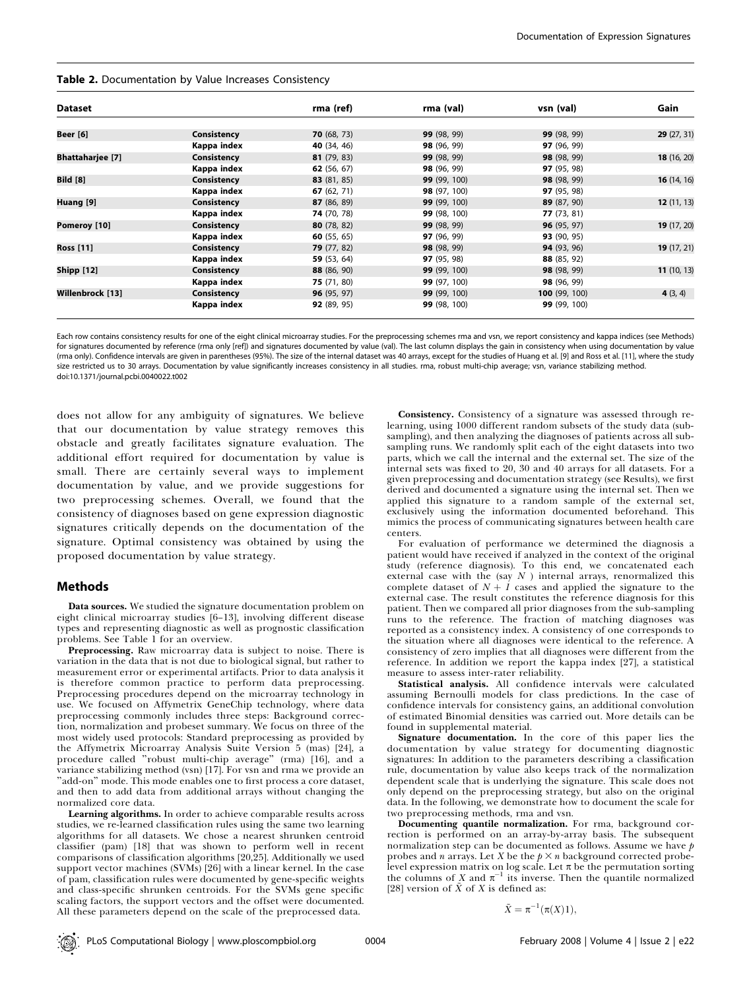#### Table 2. Documentation by Value Increases Consistency

| <b>Dataset</b>          |             | rma (ref)          | rma (val)    | vsn (val)            | Gain        |
|-------------------------|-------------|--------------------|--------------|----------------------|-------------|
| <b>Beer</b> [6]         | Consistency | 70(68, 73)         | 99 (98, 99)  | 99 (98, 99)          | 29(27, 31)  |
|                         | Kappa index | <b>40</b> (34, 46) | 98 (96, 99)  | 97 (96, 99)          |             |
| <b>Bhattaharjee</b> [7] | Consistency | 81(79, 83)         | 99 (98, 99)  | 98 (98, 99)          | 18 (16, 20) |
|                         | Kappa index | 62 $(56, 67)$      | 98 (96, 99)  | 97 (95, 98)          |             |
| <b>Bild</b> [8]         | Consistency | 83 (81, 85)        | 99 (99, 100) | 98 (98, 99)          | 16(14, 16)  |
|                         | Kappa index | 67 $(62, 71)$      | 98 (97, 100) | 97 (95, 98)          |             |
| Huang [9]               | Consistency | 87 (86, 89)        | 99 (99, 100) | 89 (87, 90)          | 12(11, 13)  |
|                         | Kappa index | 74 (70, 78)        | 99 (98, 100) | 77(73, 81)           |             |
| Pomeroy [10]            | Consistency | 80 $(78, 82)$      | 99 (98, 99)  | <b>96</b> (95, 97)   | 19 (17, 20) |
|                         | Kappa index | 60 $(55, 65)$      | 97 (96, 99)  | 93 (90, 95)          |             |
| <b>Ross</b> [11]        | Consistency | 79(77, 82)         | 98 (98, 99)  | 94 (93, 96)          | 19(17, 21)  |
|                         | Kappa index | 59 (53, 64)        | 97 (95, 98)  | 88 (85, 92)          |             |
| <b>Shipp [12]</b>       | Consistency | 88 (86, 90)        | 99 (99, 100) | 98 (98, 99)          | 11(10, 13)  |
|                         | Kappa index | 75 (71, 80)        | 99 (97, 100) | 98 (96, 99)          |             |
| Willenbrock [13]        | Consistency | 96(95, 97)         | 99 (99, 100) | <b>100</b> (99, 100) | 4(3, 4)     |
|                         | Kappa index | 92 (89, 95)        | 99 (98, 100) | 99 (99, 100)         |             |

Each row contains consistency results for one of the eight clinical microarray studies. For the preprocessing schemes rma and vsn, we report consistency and kappa indices (see Methods) for signatures documented by reference (rma only [ref]) and signatures documented by value (val). The last column displays the gain in consistency when using documentation by value (rma only). Confidence intervals are given in parentheses (95%). The size of the internal dataset was 40 arrays, except for the studies of Huang et al. [9] and Ross et al. [11], where the study size restricted us to 30 arrays. Documentation by value significantly increases consistency in all studies, rma, robust multi-chip average; ysn, variance stabilizing method. doi:10.1371/journal.pcbi.0040022.t002

does not allow for any ambiguity of signatures. We believe that our documentation by value strategy removes this obstacle and greatly facilitates signature evaluation. The additional effort required for documentation by value is small. There are certainly several ways to implement documentation by value, and we provide suggestions for two preprocessing schemes. Overall, we found that the consistency of diagnoses based on gene expression diagnostic signatures critically depends on the documentation of the signature. Optimal consistency was obtained by using the proposed documentation by value strategy.

#### Methods

Data sources. We studied the signature documentation problem on eight clinical microarray studies [6–13], involving different disease types and representing diagnostic as well as prognostic classification problems. See Table 1 for an overview.

Preprocessing. Raw microarray data is subject to noise. There is variation in the data that is not due to biological signal, but rather to measurement error or experimental artifacts. Prior to data analysis it is therefore common practice to perform data preprocessing. Preprocessing procedures depend on the microarray technology in use. We focused on Affymetrix GeneChip technology, where data preprocessing commonly includes three steps: Background correction, normalization and probeset summary. We focus on three of the most widely used protocols: Standard preprocessing as provided by the Affymetrix Microarray Analysis Suite Version 5 (mas) [24], a procedure called ''robust multi-chip average'' (rma) [16], and a variance stabilizing method (vsn) [17]. For vsn and rma we provide an "add-on" mode. This mode enables one to first process a core dataset, and then to add data from additional arrays without changing the normalized core data.

Learning algorithms. In order to achieve comparable results across studies, we re-learned classification rules using the same two learning algorithms for all datasets. We chose a nearest shrunken centroid classifier (pam) [18] that was shown to perform well in recent comparisons of classification algorithms [20,25]. Additionally we used support vector machines (SVMs) [26] with a linear kernel. In the case of pam, classification rules were documented by gene-specific weights and class-specific shrunken centroids. For the SVMs gene specific scaling factors, the support vectors and the offset were documented. All these parameters depend on the scale of the preprocessed data.

Consistency. Consistency of a signature was assessed through relearning, using 1000 different random subsets of the study data (subsampling), and then analyzing the diagnoses of patients across all subsampling runs. We randomly split each of the eight datasets into two parts, which we call the internal and the external set. The size of the internal sets was fixed to 20, 30 and 40 arrays for all datasets. For a given preprocessing and documentation strategy (see Results), we first derived and documented a signature using the internal set. Then we applied this signature to a random sample of the external set, exclusively using the information documented beforehand. This mimics the process of communicating signatures between health care centers.

For evaluation of performance we determined the diagnosis a patient would have received if analyzed in the context of the original study (reference diagnosis). To this end, we concatenated each external case with the (say  $N$  ) internal arrays, renormalized this complete dataset of  $N + 1$  cases and applied the signature to the external case. The result constitutes the reference diagnosis for this patient. Then we compared all prior diagnoses from the sub-sampling runs to the reference. The fraction of matching diagnoses was reported as a consistency index. A consistency of one corresponds to the situation where all diagnoses were identical to the reference. A consistency of zero implies that all diagnoses were different from the reference. In addition we report the kappa index [27], a statistical measure to assess inter-rater reliability.

Statistical analysis. All confidence intervals were calculated assuming Bernoulli models for class predictions. In the case of confidence intervals for consistency gains, an additional convolution of estimated Binomial densities was carried out. More details can be found in supplemental material.

Signature documentation. In the core of this paper lies the documentation by value strategy for documenting diagnostic signatures: In addition to the parameters describing a classification rule, documentation by value also keeps track of the normalization dependent scale that is underlying the signature. This scale does not only depend on the preprocessing strategy, but also on the original data. In the following, we demonstrate how to document the scale for two preprocessing methods, rma and vsn.

Documenting quantile normalization. For rma, background correction is performed on an array-by-array basis. The subsequent normalization step can be documented as follows. Assume we have  $p$ probes and *n* arrays. Let *X* be the  $p \times n$  background corrected probelevel expression matrix on log scale. Let  $\pi$  be the permutation sorting the columns of X and  $\pi^{-1}$  its inverse. Then the quantile normalized [28] version of  $\tilde{X}$  of X is defined as:

$$
\tilde{X} = \pi^{-1}(\pi(X)1),
$$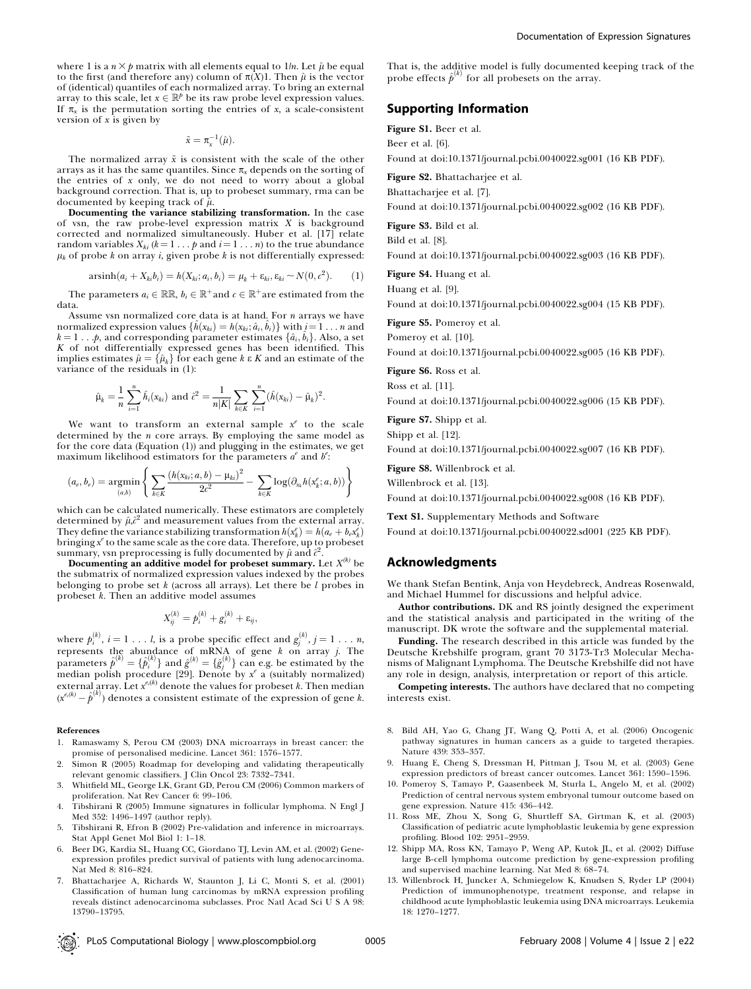where 1 is a  $n \times p$  matrix with all elements equal to 1/n. Let  $\hat{\mu}$  be equal to the first (and therefore any) column of  $\pi(X)$ 1. Then  $\hat{\mu}$  is the vector of (identical) quantiles of each normalized array. To bring an external array to this scale, let  $x \in \mathbb{R}^p$  be its raw probe level expression values. If  $\pi_x$  is the permutation sorting the entries of x, a scale-consistent version of  $x$  is given by

 $\tilde{x} = \pi_x^{-1}(\hat{\mu}).$ 

The normalized array  $\tilde{x}$  is consistent with the scale of the other arrays as it has the same quantiles. Since  $\pi_x$  depends on the sorting of the entries of  $x$  only, we do not need to worry about a global background correction. That is, up to probeset summary, rma can be documented by keeping track of  $\hat{\mu}$ .

Documenting the variance stabilizing transformation. In the case of vsn, the raw probe-level expression matrix  $X$  is background corrected and normalized simultaneously. Huber et al. [17] relate random variables  $X_{ki}$  ( $k = 1 \ldots p$  and  $i = 1 \ldots n$ ) to the true abundance  $\mu_k$  of probe k on array i, given probe k is not differentially expressed:

$$
\operatorname{arsinh}(a_i + X_{ki}b_i) = h(X_{ki}; a_i, b_i) = \mu_k + \varepsilon_{ki}, \varepsilon_{ki} \sim N(0, c^2). \tag{1}
$$

The parameters  $a_i \in \mathbb{RR}$ ,  $b_i \in \mathbb{R}^+$  and  $c \in \mathbb{R}^+$  are estimated from the data.

Assume vsn normalized core data is at hand. For  $n$  arrays we have normalized expression values  $\{\hat{h}(x_{ki}) = h(x_{ki}; \hat{a}_i, \hat{b}_i)\}$  with  $i\!=\!1\dots n$  and  $k = 1 \dots p$ , and corresponding parameter estimates  $\{\hat{a}_i, \hat{b}_i\}$ . Also, a set K of not differentially expressed genes has been identified. This implies estimates  $\hat{\mu} = {\hat{\mu}_k}$  for each gene k  $\epsilon K$  and an estimate of the variance of the residuals in (1):

$$
\hat{\mu}_k = \frac{1}{n} \sum_{i=1}^n \hat{h}_i(x_{ki})
$$
 and  $\hat{c}^2 = \frac{1}{n|K|} \sum_{k \in K} \sum_{i=1}^n (\hat{h}(x_{ki}) - \hat{\mu}_k)^2$ .

We want to transform an external sample  $x^e$  to the scale determined by the  $n$  core arrays. By employing the same model as for the core data (Equation (1)) and plugging in the estimates, we get maximum likelihood estimators for the parameters  $a^e$  and  $b^e$ :

$$
(a_e,b_e)=\underset{(a,b)}{\text{argmin}}\left\{\sum_{k\in K}\frac{\left(h(x_{ki};a,b)-\mu_{ki}\right)^2}{2c^2}-\sum_{k\in K}\log(\partial_{x_k}h(x_k^e;a,b))\right\}
$$

which can be calculated numerically. These estimators are completely determined by  $\hat{\mu} \hat{c}^2$  and measurement values from the external array. They define the variance stabilizing transformation  $h(x_k^e) = h(a_e + b_e x_k^e)$ bringing  $x^e$  to the same scale as the core data. Therefore, up to probeset summary, vsn preprocessing is fully documented by  $\hat{\mu}$  and  $\hat{c}^2$ .

Documenting an additive model for probeset summary. Let  $X^{(k)}$  be the submatrix of normalized expression values indexed by the probes belonging to probe set  $k$  (across all arrays). Let there be  $l$  probes in probeset  $k$ . Then an additive model assumes

$$
X_{ij}^{(k)} = p_i^{(k)} + g_i^{(k)} + \varepsilon_{ij},
$$

where  $p_i^{(k)},\,i=1\,\ldots\,l,$  is a probe specific effect and  $g_j^{(k)},\,j=1\,\ldots\,n,$ represents the abundance of mRNA of gene  $k$  on array  $j$ . The parameters  $\hat{p}^{(k)} = \{\hat{p}_i^{(k)}\}$  and  $\hat{g}^{(k)} = \{\hat{g}_j^{(k)}\}$  can e.g. be estimated by the median polish procedure [29]. Denote by  $x^e$  a (suitably normalized) external array. Let  $x^{\epsilon,(k)}$  denote the values for probeset k. Then median  $(x^{\epsilon,(k)} - \hat{p}^{(k)})$  denotes a consistent estimate of the expression of gene k.

#### References

- 1. Ramaswamy S, Perou CM (2003) DNA microarrays in breast cancer: the promise of personalised medicine. Lancet 361: 1576–1577.
- 2. Simon R (2005) Roadmap for developing and validating therapeutically relevant genomic classifiers. J Clin Oncol 23: 7332–7341.
- 3. Whitfield ML, George LK, Grant GD, Perou CM (2006) Common markers of proliferation. Nat Rev Cancer 6: 99–106.
- 4. Tibshirani R (2005) Immune signatures in follicular lymphoma. N Engl J Med 352: 1496–1497 (author reply).
- 5. Tibshirani R, Efron B (2002) Pre-validation and inference in microarrays. Stat Appl Genet Mol Biol 1: 1–18.
- 6. Beer DG, Kardia SL, Huang CC, Giordano TJ, Levin AM, et al. (2002) Geneexpression profiles predict survival of patients with lung adenocarcinoma. Nat Med 8: 816–824.
- 7. Bhattacharjee A, Richards W, Staunton J, Li C, Monti S, et al. (2001) Classification of human lung carcinomas by mRNA expression profiling reveals distinct adenocarcinoma subclasses. Proc Natl Acad Sci U S A 98: 13790–13795.

That is, the additive model is fully documented keeping track of the probe effects  $\hat{p}^{(k)}$  for all probesets on the array.

## Supporting Information

Figure S1. Beer et al.

Beer et al. [6].

Found at doi:10.1371/journal.pcbi.0040022.sg001 (16 KB PDF).

Figure S2. Bhattacharjee et al.

Bhattacharjee et al. [7].

Found at doi:10.1371/journal.pcbi.0040022.sg002 (16 KB PDF).

Figure S3. Bild et al.

Bild et al. [8].

Found at doi:10.1371/journal.pcbi.0040022.sg003 (16 KB PDF).

Figure S4. Huang et al.

Huang et al. [9].

Found at doi:10.1371/journal.pcbi.0040022.sg004 (15 KB PDF).

Figure S5. Pomeroy et al.

Pomeroy et al. [10].

Found at doi:10.1371/journal.pcbi.0040022.sg005 (16 KB PDF).

Figure S6. Ross et al.

Ross et al. [11].

Found at doi:10.1371/journal.pcbi.0040022.sg006 (15 KB PDF).

Figure S7. Shipp et al.

Shipp et al. [12]. Found at doi:10.1371/journal.pcbi.0040022.sg007 (16 KB PDF).

Figure S8. Willenbrock et al.

Willenbrock et al. [13].

Found at doi:10.1371/journal.pcbi.0040022.sg008 (16 KB PDF).

Text S1. Supplementary Methods and Software

Found at doi:10.1371/journal.pcbi.0040022.sd001 (225 KB PDF).

## Acknowledgments

We thank Stefan Bentink, Anja von Heydebreck, Andreas Rosenwald, and Michael Hummel for discussions and helpful advice.

Author contributions. DK and RS jointly designed the experiment and the statistical analysis and participated in the writing of the manuscript. DK wrote the software and the supplemental material.

Funding. The research described in this article was funded by the Deutsche Krebshilfe program, grant 70 3173-Tr3 Molecular Mechanisms of Malignant Lymphoma. The Deutsche Krebshilfe did not have any role in design, analysis, interpretation or report of this article.

Competing interests. The authors have declared that no competing interests exist.

- 8. Bild AH, Yao G, Chang JT, Wang Q, Potti A, et al. (2006) Oncogenic pathway signatures in human cancers as a guide to targeted therapies. Nature 439: 353–357.
- 9. Huang E, Cheng S, Dressman H, Pittman J, Tsou M, et al. (2003) Gene expression predictors of breast cancer outcomes. Lancet 361: 1590–1596.
- 10. Pomeroy S, Tamayo P, Gaasenbeek M, Sturla L, Angelo M, et al. (2002) Prediction of central nervous system embryonal tumour outcome based on gene expression. Nature 415: 436–442.
- 11. Ross ME, Zhou X, Song G, Shurtleff SA, Girtman K, et al. (2003) Classification of pediatric acute lymphoblastic leukemia by gene expression profiling. Blood 102: 2951–2959.
- 12. Shipp MA, Ross KN, Tamayo P, Weng AP, Kutok JL, et al. (2002) Diffuse large B-cell lymphoma outcome prediction by gene-expression profiling and supervised machine learning. Nat Med 8: 68–74.
- 13. Willenbrock H, Juncker A, Schmiegelow K, Knudsen S, Ryder LP (2004) Prediction of immunophenotype, treatment response, and relapse in childhood acute lymphoblastic leukemia using DNA microarrays. Leukemia 18: 1270–1277.